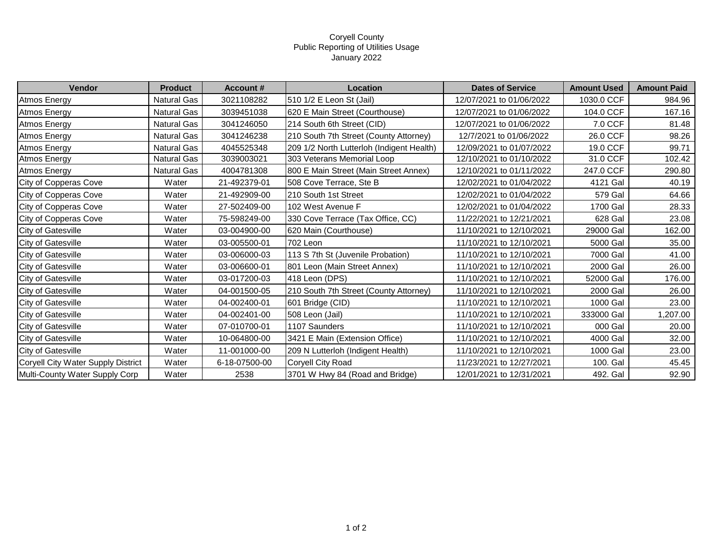## Coryell County Public Reporting of Utilities Usage January 2022

| Vendor                             | <b>Product</b>     | <b>Account #</b> | Location                                  | <b>Dates of Service</b>  | <b>Amount Used</b> | <b>Amount Paid</b> |
|------------------------------------|--------------------|------------------|-------------------------------------------|--------------------------|--------------------|--------------------|
| <b>Atmos Energy</b>                | Natural Gas        | 3021108282       | 510 1/2 E Leon St (Jail)                  | 12/07/2021 to 01/06/2022 | 1030.0 CCF         | 984.96             |
| <b>Atmos Energy</b>                | Natural Gas        | 3039451038       | 620 E Main Street (Courthouse)            | 12/07/2021 to 01/06/2022 | 104.0 CCF          | 167.16             |
| Atmos Energy                       | Natural Gas        | 3041246050       | 214 South 6th Street (CID)                | 12/07/2021 to 01/06/2022 | 7.0 CCF            | 81.48              |
| <b>Atmos Energy</b>                | Natural Gas        | 3041246238       | 210 South 7th Street (County Attorney)    | 12/7/2021 to 01/06/2022  | 26.0 CCF           | 98.26              |
| <b>Atmos Energy</b>                | Natural Gas        | 4045525348       | 209 1/2 North Lutterloh (Indigent Health) | 12/09/2021 to 01/07/2022 | 19.0 CCF           | 99.71              |
| <b>Atmos Energy</b>                | Natural Gas        | 3039003021       | 303 Veterans Memorial Loop                | 12/10/2021 to 01/10/2022 | 31.0 CCF           | 102.42             |
| Atmos Energy                       | <b>Natural Gas</b> | 4004781308       | 800 E Main Street (Main Street Annex)     | 12/10/2021 to 01/11/2022 | 247.0 CCF          | 290.80             |
| City of Copperas Cove              | Water              | 21-492379-01     | 508 Cove Terrace, Ste B                   | 12/02/2021 to 01/04/2022 | 4121 Gal           | 40.19              |
| City of Copperas Cove              | Water              | 21-492909-00     | 210 South 1st Street                      | 12/02/2021 to 01/04/2022 | 579 Gal            | 64.66              |
| City of Copperas Cove              | Water              | 27-502409-00     | 102 West Avenue F                         | 12/02/2021 to 01/04/2022 | 1700 Gal           | 28.33              |
| City of Copperas Cove              | Water              | 75-598249-00     | 330 Cove Terrace (Tax Office, CC)         | 11/22/2021 to 12/21/2021 | 628 Gal            | 23.08              |
| City of Gatesville                 | Water              | 03-004900-00     | 620 Main (Courthouse)                     | 11/10/2021 to 12/10/2021 | 29000 Gal          | 162.00             |
| City of Gatesville                 | Water              | 03-005500-01     | 702 Leon                                  | 11/10/2021 to 12/10/2021 | 5000 Gal           | 35.00              |
| City of Gatesville                 | Water              | 03-006000-03     | 113 S 7th St (Juvenile Probation)         | 11/10/2021 to 12/10/2021 | 7000 Gal           | 41.00              |
| City of Gatesville                 | Water              | 03-006600-01     | 801 Leon (Main Street Annex)              | 11/10/2021 to 12/10/2021 | 2000 Gal           | 26.00              |
| <b>City of Gatesville</b>          | Water              | 03-017200-03     | 418 Leon (DPS)                            | 11/10/2021 to 12/10/2021 | 52000 Gal          | 176.00             |
| City of Gatesville                 | Water              | 04-001500-05     | 210 South 7th Street (County Attorney)    | 11/10/2021 to 12/10/2021 | 2000 Gal           | 26.00              |
| <b>City of Gatesville</b>          | Water              | 04-002400-01     | 601 Bridge (CID)                          | 11/10/2021 to 12/10/2021 | 1000 Gal           | 23.00              |
| <b>City of Gatesville</b>          | Water              | 04-002401-00     | 508 Leon (Jail)                           | 11/10/2021 to 12/10/2021 | 333000 Gal         | 1,207.00           |
| City of Gatesville                 | Water              | 07-010700-01     | 1107 Saunders                             | 11/10/2021 to 12/10/2021 | 000 Gal            | 20.00              |
| City of Gatesville                 | Water              | 10-064800-00     | 3421 E Main (Extension Office)            | 11/10/2021 to 12/10/2021 | 4000 Gal           | 32.00              |
| <b>City of Gatesville</b>          | Water              | 11-001000-00     | 209 N Lutterloh (Indigent Health)         | 11/10/2021 to 12/10/2021 | 1000 Gal           | 23.00              |
| Coryell City Water Supply District | Water              | 6-18-07500-00    | Coryell City Road                         | 11/23/2021 to 12/27/2021 | 100. Gal           | 45.45              |
| Multi-County Water Supply Corp     | Water              | 2538             | 3701 W Hwy 84 (Road and Bridge)           | 12/01/2021 to 12/31/2021 | 492. Gal           | 92.90              |